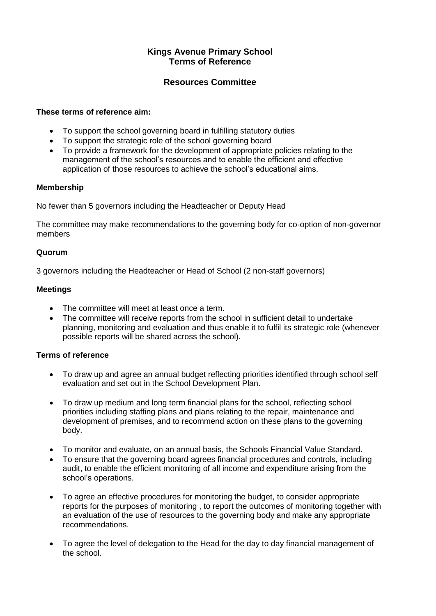## **Kings Avenue Primary School Terms of Reference**

# **Resources Committee**

## **These terms of reference aim:**

- To support the school governing board in fulfilling statutory duties
- To support the strategic role of the school governing board
- To provide a framework for the development of appropriate policies relating to the management of the school's resources and to enable the efficient and effective application of those resources to achieve the school's educational aims.

#### **Membership**

No fewer than 5 governors including the Headteacher or Deputy Head

The committee may make recommendations to the governing body for co-option of non-governor members

#### **Quorum**

3 governors including the Headteacher or Head of School (2 non-staff governors)

#### **Meetings**

- The committee will meet at least once a term.
- The committee will receive reports from the school in sufficient detail to undertake planning, monitoring and evaluation and thus enable it to fulfil its strategic role (whenever possible reports will be shared across the school).

## **Terms of reference**

- To draw up and agree an annual budget reflecting priorities identified through school self evaluation and set out in the School Development Plan.
- To draw up medium and long term financial plans for the school, reflecting school priorities including staffing plans and plans relating to the repair, maintenance and development of premises, and to recommend action on these plans to the governing body.
- To monitor and evaluate, on an annual basis, the Schools Financial Value Standard.
- To ensure that the governing board agrees financial procedures and controls, including audit, to enable the efficient monitoring of all income and expenditure arising from the school's operations.
- To agree an effective procedures for monitoring the budget, to consider appropriate reports for the purposes of monitoring , to report the outcomes of monitoring together with an evaluation of the use of resources to the governing body and make any appropriate recommendations.
- To agree the level of delegation to the Head for the day to day financial management of the school.